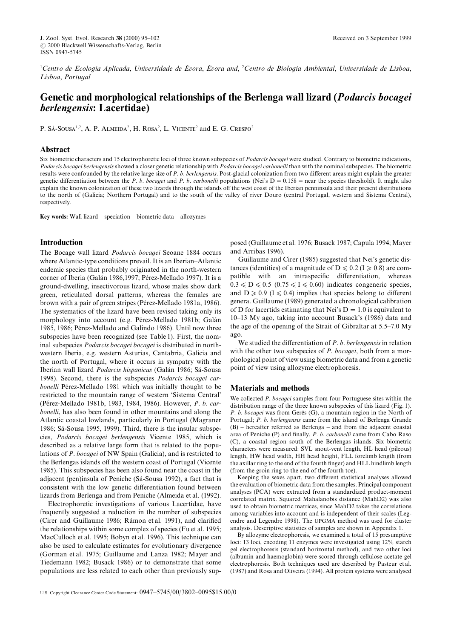<sup>1</sup>Centro de Ecologia Aplicada, Universidade de Évora, Évora and, <sup>2</sup>Centro de Biologia Ambiental, Universidade de Lisboa, Lisboa, Portugal

# Genetic and morphological relationships of the Berlenga wall lizard (Podarcis bocagei berlengensis: Lacertidae)

 $P. S$ Á-SOUSA<sup>1,2</sup>, A. P. ALMEIDA<sup>2</sup>, H. ROSA<sup>2</sup>, L. VICENTE<sup>2</sup> and E. G. Crespo<sup>2</sup>

## Abstract

Six biometric characters and 15 electrophoretic loci of three known subspecies of Podarcis bocagei were studied. Contrary to biometric indications, Podarcis bocagei berlengensis showed a closer genetic relationship with Podarcis bocagei carbonelli than with the nominal subspecies. The biometric results were confounded by the relative large size of P. b. berlengensis. Post-glacial colonization from two different areas might explain the greater genetic differentiation between the P. b. bocagei and P. b. carbonelli populations (Nei's  $D = 0.158$  = near the species threshold). It might also explain the known colonization of these two lizards through the islands off the west coast of the Iberian penninsula and their present distributions to the north of (Galicia; Northern Portugal) and to the south of the valley of river Douro (central Portugal, western and Sistema Central), respectively.

Key words: Wall lizard – speciation – biometric data – allozymes

# Introduction

The Bocage wall lizard Podarcis bocagei Seoane 1884 occurs where Atlantic-type conditions prevail. It is an Iberian-Atlantic endemic species that probably originated in the north-western corner of Iberia (Galán 1986,1997; Pérez-Mellado 1997). It is a ground-dwelling, insectivorous lizard, whose males show dark green, reticulated dorsal patterns, whereas the females are brown with a pair of green stripes (Pérez-Mellado 1981a, 1986). The systematics of the lizard have been revised taking only its morphology into account (e.g. Pérez-Mellado 1981b; Galán 1985, 1986; Pérez-Mellado and Galindo 1986). Until now three subspecies have been recognized (see Table 1). First, the nominal subspecies *Podarcis bocagei bocagei* is distributed in northwestern Iberia, e.g. western Asturias, Cantabria, Galicia and the north of Portugal, where it occurs in sympatry with the Iberian wall lizard Podarcis hispanicus (Galán 1986; Sá-Sousa 1998). Second, there is the subspecies *Podarcis bocagei car*bonelli Pérez-Mellado 1981 which was initially thought to be restricted to the mountain range of western 'Sistema Central' (Pérez-Mellado 1981b, 1983, 1984, 1986). However, P. b. carbonelli, has also been found in other mountains and along the Atlantic coastal lowlands, particularly in Portugal (Magraner 1986; Sá-Sousa 1995, 1999). Third, there is the insular subspecies, Podarcis bocagei berlengensis Vicente 1985, which is described as a relative large form that is related to the populations of  $P$ . *bocagei* of NW Spain (Galicia), and is restricted to the Berlengas islands off the western coast of Portugal (Vicente 1985). This subspecies has been also found near the coast in the adjacent (pen)insula of Peniche (Sá-Sousa 1992), a fact that is consistent with the low genetic differentiation found between lizards from Berlenga and from Peniche (Almeida et al. (1992).

Electrophoretic investigations of various Lacertidae, have frequently suggested a reduction in the number of subspecies (Cirer and Guillaume 1986; Rámon et al. 1991), and clarified the relationships within some complex of species (Fu et al. 1995; MacCulloch et al. 1995; Bobyn et al. 1996). This technique can also be used to calculate estimates for evolutionary divergence (Gorman et al. 1975; Guillaume and Lanza 1982; Mayer and Tiedemann 1982: Busack 1986) or to demonstrate that some populations are less related to each other than previously supposed (Guillaume et al. 1976; Busack 1987; Capula 1994; Mayer and Arribas 1996).

Guillaume and Cirer (1985) suggested that Nei's genetic distances (identities) of a magnitude of D  $\leq 0.2$  (I  $\geq 0.8$ ) are compatible with an intraspecific differentiation, whereas  $0.3 \le D \le 0.5$  (0.75  $\le I \le 0.60$ ) indicates congeneric species, and D  $\geq$  0.9 (I  $\leq$  0.4) implies that species belong to different genera. Guillaume (1989) generated a chronological calibration of D for lacertids estimating that Nei's  $D = 1.0$  is equivalent to  $10-13$  My ago, taking into account Busack's  $(1986)$  data and the age of the opening of the Strait of Gibraltar at  $5.5-7.0$  My ago.

We studied the differentiation of  $P$ .  $b$ . berlengensis in relation with the other two subspecies of  $P$ . *bocagei*, both from a morphological point of view using biometric data and from a genetic point of view using allozyme electrophoresis.

## Materials and methods

We collected  $P$ . *bocagei* samples from four Portuguese sites within the distribution range of the three known subspecies of this lizard (Fig. 1). P. b. bocagei was from Gerês  $(G)$ , a mountain region in the North of Portugal; P. b. berlengensis came from the island of Berlenga Grande  $(B)$  – hereafter referred as Berlenga – and from the adjacent coastal area of Peniche  $(P)$  and finally,  $P. b.$  carbonelli came from Cabo Raso (C), a coastal region south of the Berlengas islands. Six biometric characters were measured: SVL snout-vent length, HL head (pileous) length, HW head width, HH head height, FLL forelimb length (from the axillar ring to the end of the fourth finger) and HLL hindlimb length (from the groin ring to the end of the fourth toe).

Keeping the sexes apart, two different statistical analyses allowed the evaluation of biometric data from the samples. Principal component analyses (PCA) were extracted from a standardized product-moment correlated matrix. Squared Mahalanobis distance (MahD2) was also used to obtain biometric matrices, since MahD2 takes the correlations among variables into account and is independent of their scales (Legendre and Legendre 1998). The UPGMA method was used for cluster analysis. Descriptive statistics of samples are shown in Appendix 1.

By allozyme electrophoresis, we examined a total of 15 presumptive loci: 13 loci, encoding 11 enzymes were investigated using 12% starch gel electrophoresis (standard horizontal method), and two other loci (albumin and haemoglobin) were scored through cellulose acetate gel electrophoresis. Both techniques used are described by Pasteur et al.  $(1987)$  and Rosa and Oliveira  $(1994)$ . All protein systems were analysed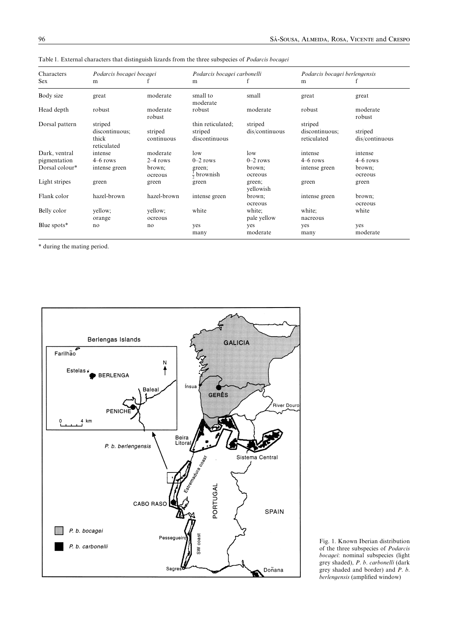| Characters     | Podarcis bocagei bocagei                          |                       | Podarcis bocagei carbonelli                   |                           |                                          | Podarcis bocagei berlengensis |  |  |
|----------------|---------------------------------------------------|-----------------------|-----------------------------------------------|---------------------------|------------------------------------------|-------------------------------|--|--|
| Sex            | m                                                 |                       | m                                             |                           | m                                        |                               |  |  |
| Body size      | great                                             | moderate              | small to<br>moderate                          | small                     | great                                    | great                         |  |  |
| Head depth     | robust                                            | moderate<br>robust    | robust                                        | moderate                  | robust                                   | moderate<br>robust            |  |  |
| Dorsal pattern | striped<br>discontinuous;<br>thick<br>reticulated | striped<br>continuous | thin reticulated;<br>striped<br>discontinuous | striped<br>dis/continuous | striped<br>discontinuous;<br>reticulated | striped<br>dis/continuous     |  |  |
| Dark, ventral  | intense                                           | moderate              | low                                           | low                       | intense                                  | intense                       |  |  |
| pigmentation   | $4-6$ rows                                        | $2-4$ rows            | $0-2$ rows                                    | $0-2$ rows                | $4-6$ rows                               | $4-6$ rows                    |  |  |
| Dorsal colour* | intense green                                     | brown:<br>ocreous     | green:<br>$\frac{1}{2}$ brownish              | brown:<br>ocreous         | intense green                            | brown:<br>ocreous             |  |  |
| Light stripes  | green                                             | green                 | green                                         | green;<br>yellowish       | green                                    | green                         |  |  |
| Flank color    | hazel-brown                                       | hazel-brown           | intense green                                 | brown:<br>ocreous         | intense green                            | brown:<br>ocreous             |  |  |
| Belly color    | yellow;<br>orange                                 | yellow:<br>ocreous    | white                                         | white;<br>pale yellow     | white;<br>nacreous                       | white                         |  |  |
| Blue spots*    | no                                                | no                    | yes<br>many                                   | yes<br>moderate           | yes<br>many                              | yes<br>moderate               |  |  |

Table 1. External characters that distinguish lizards from the three subspecies of Podarcis bocagei

\* during the mating period.



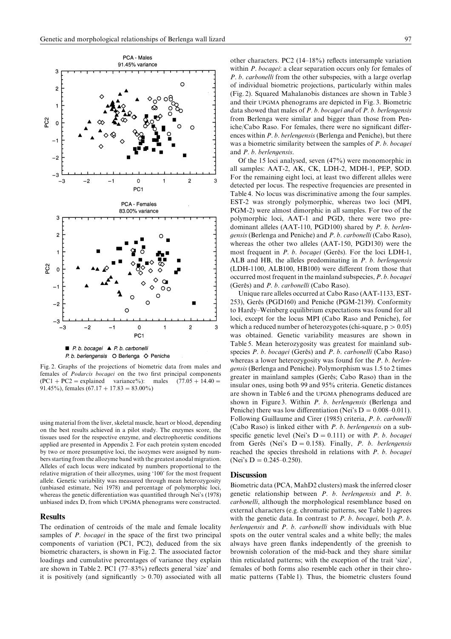

Fig. 2. Graphs of the projections of biometric data from males and females of Podarcis bocagei on the two first principal components  $(PC1 + PC2 = explained variance%)$ : males  $(77.05 + 14.40)$ 91.45%), females  $(67.17 + 17.83 = 83.00\%)$ 

using material from the liver, skeletal muscle, heart or blood, depending on the best results achieved in a pilot study. The enzymes score, the tissues used for the respective enzyme, and electrophoretic conditions applied are presented in Appendix 2. For each protein system encoded by two or more presumptive loci, the isozymes were assigned by numbers starting from the allozyme band with the greatest anodal migration. Alleles of each locus were indicated by numbers proportional to the relative migration of their allozymes, using '100' for the most frequent allele. Genetic variability was measured through mean heterozygosity  $(unbiased estimate, Nei 1978)$  and percentage of polymorphic loci, whereas the genetic differentiation was quantified through Nei's (1978) unbiased index D, from which UPGMA phenograms were constructed.

#### Results

The ordination of centroids of the male and female locality samples of  $P$ . *bocagei* in the space of the first two principal components of variation  $(PC1, PC2)$ , deduced from the six biometric characters, is shown in Fig. 2. The associated factor loadings and cumulative percentages of variance they explain are shown in Table 2. PC1  $(77-83%)$  reflects general 'size' and it is positively (and significantly  $> 0.70$ ) associated with all other characters. PC2  $(14-18%)$  reflects intersample variation within  $P$ . bocaqei: a clear separation occurs only for females of  $P. b.$  *carbonelli* from the other subspecies, with a large overlap of individual biometric projections\ particularly within males  $(Fig. 2)$ . Squared Mahalanobis distances are shown in Table 3 and their UPGMA phenograms are depicted in Fig. 3. Biometric data showed that males of  $P. b. b.$  bocagei and of  $P. b.$  berlengensis from Berlenga were similar and bigger than those from Peniche/Cabo Raso. For females, there were no significant differences within  $P. b.$  berlengensis (Berlenga and Peniche), but there was a biometric similarity between the samples of  $P$ .  $b$ . bocagei and  $P. b.$  berlengensis.

Of the 15 loci analysed, seven  $(47%)$  were monomorphic in all samples: AAT-2, AK, CK, LDH-2, MDH-1, PEP, SOD. For the remaining eight loci, at least two different alleles were detected per locus. The respective frequencies are presented in Table 4. No locus was discriminative among the four samples. EST-2 was strongly polymorphic, whereas two loci  $(MPI,$ PGM-2) were almost dimorphic in all samples. For two of the polymorphic loci, AAT-1 and PGD, there were two predominant alleles  $(AAT-110, PGD100)$  shared by P. b. berlengensis (Berlenga and Peniche) and P. b. carbonelli (Cabo Raso), whereas the other two alleles  $(AAT-150, PGD130)$  were the most frequent in P. b. bocagei (Gerês). For the loci LDH-1, ALB and HB, the alleles predominating in  $P$ . b. berlengensis  $(LDH-1100, ALB100, HB100)$  were different from those that occurred most frequent in the mainland subspecies,  $P, b, b, c$ (Gerês) and  $P. b.$  carbonelli (Cabo Raso).

Unique rare alleles occurred at Cabo Raso (AAT-1133, EST-253), Gerês (PGD160) and Peniche (PGM-2139). Conformity to Hardy–Weinberg equilibrium expectations was found for all loci, except for the locus MPI (Cabo Raso and Peniche), for which a reduced number of heterozygotes (chi-square,  $p > 0.05$ ) was obtained. Genetic variability measures are shown in Table 5. Mean heterozygosity was greatest for mainland subspecies  $P. b. b. o. gei (Gerês)$  and  $P. b. carbonelli (Cabo Raso)$ whereas a lower heterozygosity was found for the  $P$ .  $b$ . berlen*gensis* (Berlenga and Peniche). Polymorphism was 1.5 to 2 times greater in mainland samples (Gerês; Cabo Raso) than in the insular ones, using both 99 and 95% criteria. Genetic distances are shown in Table 6 and the UPGMA phenograms deduced are shown in Figure 3. Within  $P$ .  $b$ . berlengensis (Berlenga and Peniche) there was low differentiation (Nei's  $D = 0.008 - 0.011$ ). Following Guillaume and Cirer (1985) criteria, P. b. carbonelli (Cabo Raso) is linked either with  $P. b.$  berlengensis on a subspecific genetic level (Nei's  $D = 0.111$ ) or with *P. b. bocagei* from Gerês (Nei's  $D = 0.158$ ). Finally, *P. b. berlengensis* reached the species threshold in relations with  $P$ .  $b$ . bocagei (Nei's D =  $0.245-0.250$ ).

#### **Discussion**

Biometric data (PCA, MahD2 clusters) mask the inferred closer genetic relationship between  $P$ .  $b$ . berlengensis and  $P$ .  $b$ . carbonelli, although the morphological resemblance based on external characters (e.g. chromatic patterns, see Table 1) agrees with the genetic data. In contrast to  $P. b.$  bocagei, both  $P. b.$ berlengensis and  $P$ .  $b$ . carbonelli show individuals with blue spots on the outer ventral scales and a white belly; the males always have green flanks independently of the greenish to brownish coloration of the mid-back and they share similar thin reticulated patterns; with the exception of the trait 'size', females of both forms also resemble each other in their chromatic patterns (Table 1). Thus, the biometric clusters found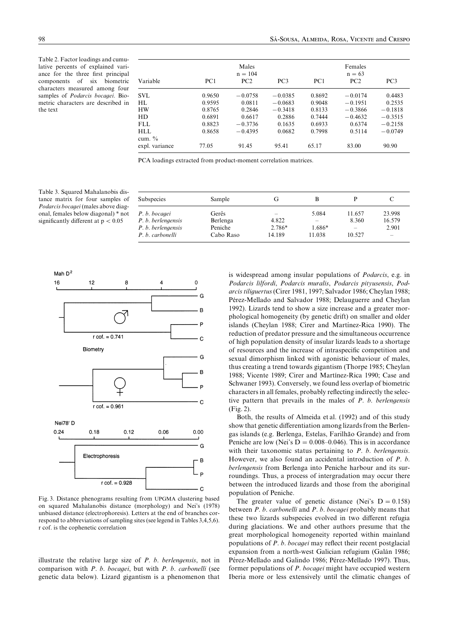Table 2. Factor loadings and cumulative percents of explained variance for the three first principal components of six biometric characters measured among four samples of Podarcis bocagei. Biometric characters are described in the text

|                |                 | Males<br>$n = 104$ |                 |                 | Females<br>$n = 63$ |                 |
|----------------|-----------------|--------------------|-----------------|-----------------|---------------------|-----------------|
| Variable       | PC <sub>1</sub> | PC2                | PC <sub>3</sub> | PC <sub>1</sub> | PC2                 | PC <sub>3</sub> |
| SVL            | 0.9650          | $-0.0758$          | $-0.0385$       | 0.8692          | $-0.0174$           | 0.4483          |
| HI.            | 0.9595          | 0.0811             | $-0.0683$       | 0.9048          | $-0.1951$           | 0.2535          |
| <b>HW</b>      | 0.8765          | 0.2846             | $-0.3418$       | 0.8133          | $-0.3866$           | $-0.1818$       |
| HD             | 0.6891          | 0.6617             | 0.2886          | 0.7444          | $-0.4632$           | $-0.3515$       |
| FLL.           | 0.8823          | $-0.3736$          | 0.1635          | 0.6933          | 0.6374              | $-0.2158$       |
| HLL            | 0.8658          | $-0.4395$          | 0.0682          | 0.7998          | 0.5114              | $-0.0749$       |
| cum. $\%$      |                 |                    |                 |                 |                     |                 |
| expl. variance | 77.05           | 91.45              | 95.41           | 65.17           | 83.00               | 90.90           |

PCA loadings extracted from product-moment correlation matrices.

Table 3. Squared Mahalanobis distance matrix for four samples of Podarcis bocagei (males above diagonal, females below diagonal) \* not significantly different at  $p < 0.05$ 

| <b>Subspecies</b>  | Sample    | Сĭ     |        |                          |          |
|--------------------|-----------|--------|--------|--------------------------|----------|
| P. b. bocagei      | Gerês     |        | 5.084  | 11.657                   | 23.998   |
| P. b. berlengensis | Berlenga  | 4.822  |        | 8.360                    | 16.579   |
| P. b. berlengensis | Peniche   | 2.786* | 1.686* | $\overline{\phantom{m}}$ | 2.901    |
| P. b. carbonelli   | Cabo Raso | 14.189 | 11.038 | 10.527                   | $\equiv$ |



Fig. 3. Distance phenograms resulting from UPGMA clustering based on squared Mahalanobis distance (morphology) and Nei's (1978) unbiased distance (electrophoresis). Letters at the end of branches correspond to abbreviations of sampling sites (see legend in Tables  $3,4,5,6$ ). r cof. is the cophenetic correlation

illustrate the relative large size of  $P$ .  $b$ . berlengensis, not in comparison with  $P. b. bocagei$ , but with  $P. b. carbonelli$  (see genetic data below). Lizard gigantism is a phenomenon that is widespread among insular populations of  $Podarcis$ , e.g. in Podarcis lilfordi, Podarcis muralis, Podarcis pityusensis, Podarcis tiliquertus (Cirer 1981, 1997; Salvador 1986; Cheylan 1988; Pérez-Mellado and Salvador 1988; Delauguerre and Cheylan 1992). Lizards tend to show a size increase and a greater morphological homogeneity (by genetic drift) on smaller and older islands (Cheylan 1988; Cirer and Martínez-Rica 1990). The reduction of predator pressure and the simultaneous occurrence of high population density of insular lizards leads to a shortage of resources and the increase of intraspecific competition and sexual dimorphism linked with agonistic behaviour of males, thus creating a trend towards gigantism (Thorpe 1985; Cheylan 1988; Vicente 1989; Cirer and Martínez-Rica 1990; Case and Schwaner 1993). Conversely, we found less overlap of biometric characters in all females, probably reflecting indirectly the selective pattern that prevails in the males of  $P$ .  $b$ . berlengensis  $(Fig. 2)$ .

Both, the results of Almeida et al. (1992) and of this study show that genetic differentiation among lizards from the Berlengas islands (e.g. Berlenga, Estelas, Farilhão Grande) and from Peniche are low (Nei's  $D = 0.008{\text -}0.046$ ). This is in accordance with their taxonomic status pertaining to  $P$ .  $b$ . berlengensis. However, we also found an accidental introduction of  $P_1$ . berlengensis from Berlenga into Peniche harbour and its surroundings. Thus, a process of intergradation may occur there between the introduced lizards and those from the aboriginal population of Peniche.

The greater value of genetic distance (Nei's  $D = 0.158$ ) between  $P. b.$  carbonelli and  $P. b.$  bocagei probably means that these two lizards subspecies evolved in two different refugia during glaciations. We and other authors presume that the great morphological homogeneity reported within mainland populations of  $P$ .  $b$ . *bocagei* may reflect their recent postglacial expansion from a north-west Galician refugium (Galán 1986; Pérez-Mellado and Galindo 1986; Pérez-Mellado 1997). Thus, former populations of  $P.$  bocagei might have occupied western Iberia more or less extensively until the climatic changes of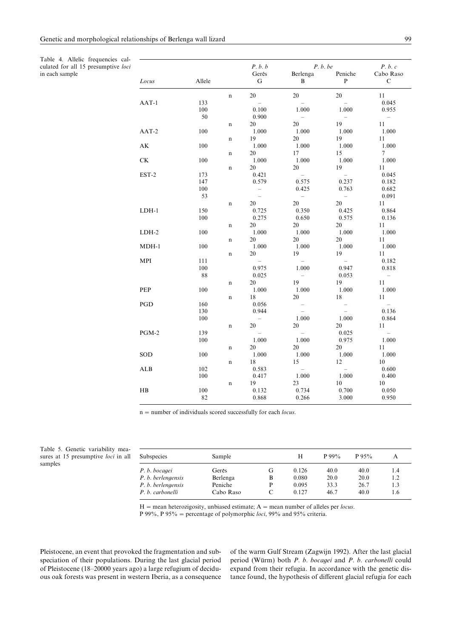Table 4. Allelic frequencies calculated for all 15 presumptive loci in each sample

|                        |        |             | P. b. b                               | P. b. be                 | P. b. c           |                                 |
|------------------------|--------|-------------|---------------------------------------|--------------------------|-------------------|---------------------------------|
|                        |        |             | Gerês                                 | Berlenga                 | Peniche           | Cabo Raso                       |
| Locus                  | Allele |             | G                                     | B                        | $\mathbf{P}$      | $\mathcal{C}$                   |
|                        |        | $\mathbf n$ | 20                                    | 20                       | 20                | 11                              |
| $AAT-1$                | 133    |             |                                       |                          |                   | 0.045                           |
|                        | 100    |             | 0.100                                 | 1.000                    | 1.000             | 0.955                           |
|                        | 50     |             | 0.900                                 |                          |                   | $\sim$                          |
|                        |        | n           | 20                                    | 20                       | 19                | 11                              |
| $AAT-2$                | 100    |             | 1.000                                 | 1.000                    | 1.000             | 1.000                           |
|                        |        | $\mathbf n$ | 19                                    | 20                       | 19                | 11                              |
| $\mathbf{A}\mathbf{K}$ | 100    |             | 1.000                                 | 1.000                    | 1.000             | 1.000                           |
|                        |        | n           | 20                                    | 17                       | 15                | $\tau$                          |
| <b>CK</b>              | 100    |             | 1.000                                 | 1.000                    | 1.000             | 1.000                           |
|                        |        | n           | 20                                    | 20                       | 19                | 11                              |
| EST-2                  | 173    |             | 0.421                                 | $\equiv$                 | $\equiv$          | 0.045                           |
|                        | 147    |             | 0.579                                 | 0.575                    | 0.237             | 0.182                           |
|                        | 100    |             | $\overline{\phantom{a}}$              | 0.425                    | 0.763             | 0.682                           |
|                        | 53     |             | $\equiv$                              | $\equiv$                 | $\equiv$          | 0.091                           |
|                        |        | n           | 20                                    | 20                       | 20                | 11                              |
| $LDH-1$                | 150    |             | 0.725                                 | 0.350                    | 0.425             | 0.864                           |
|                        | 100    |             | 0.275                                 | 0.650                    | 0.575             | 0.136                           |
|                        |        | n           | 20                                    | 20                       | 20                | 11                              |
| $LDH-2$                | 100    |             | 1.000                                 | 1.000                    | 1.000             | 1.000                           |
|                        |        | $\mathbf n$ | 20                                    | 20                       | 20                | 11                              |
| $MDH-1$                | 100    |             | 1.000                                 | 1.000                    | 1.000             | 1.000                           |
|                        |        | n           | 20                                    | 19                       | 19                | 11                              |
| MPI                    | 111    |             | $\equiv$                              |                          | $\equiv$          | 0.182                           |
|                        | 100    |             | 0.975                                 | 1.000                    | 0.947             | 0.818                           |
|                        | 88     |             | 0.025                                 | $\overline{\phantom{a}}$ | 0.053             | $\hspace{0.1mm}-\hspace{0.1mm}$ |
|                        |        | n           | 20                                    | 19                       | 19                | 11                              |
| PEP                    | 100    |             | 1.000                                 | 1.000                    | 1.000             | 1.000                           |
|                        |        | $\mathbf n$ | 18                                    | 20                       | 18                | 11                              |
| PGD                    | 160    |             | 0.056                                 | $\qquad \qquad -$        | $\qquad \qquad -$ | $\equiv$                        |
|                        | 130    |             | 0.944                                 |                          |                   | 0.136                           |
|                        | 100    |             |                                       | 1.000                    | 1.000             | 0.864                           |
|                        |        |             | $\hspace{0.1mm}-\hspace{0.1mm}$<br>20 | 20                       | 20                |                                 |
| PGM-2                  | 139    | $\mathbf n$ |                                       |                          | 0.025             | 11<br>$\equiv$                  |
|                        | 100    |             | 1.000                                 | 1.000                    | 0.975             | 1.000                           |
|                        |        |             | 20                                    | 20                       |                   |                                 |
|                        | 100    | n           |                                       |                          | 20                | 11                              |
| SOD                    |        |             | 1.000                                 | 1.000                    | 1.000<br>12       | 1.000                           |
|                        |        | $\mathbf n$ | 18                                    | 15                       |                   | 10                              |
| ALB                    | 102    |             | 0.583                                 |                          |                   | 0.600                           |
|                        | 100    |             | 0.417                                 | 1.000                    | 1.000             | 0.400                           |
|                        |        | n           | 19                                    | 23                       | 10                | 10                              |
| H B                    | 100    |             | 0.132                                 | 0.734                    | 0.700             | 0.050                           |
|                        | 82     |             | 0.868                                 | 0.266                    | 3.000             | 0.950                           |

 $n =$  number of individuals scored successfully for each *locus*.

Table 5. Genetic variability measures at 15 presumptive loci in all samples

| Subspecies         | Sample    |   | H     | $P99\%$ | P95% |     |
|--------------------|-----------|---|-------|---------|------|-----|
| P. b. bocagei      | Gerês     | G | 0.126 | 40.0    | 40.0 | 1.4 |
| P. b. berlengensis | Berlenga  | в | 0.080 | 20.0    | 20.0 | 1.2 |
| P. b. berlengensis | Peniche   | P | 0.095 | 33.3    | 26.7 | 1.3 |
| P. b. carbonelli   | Cabo Raso |   | 0.127 | 46.7    | 40.0 | 1.6 |

 $H =$  mean heterozigosity, unbiased estimate;  $A =$  mean number of alleles per *locus*. P 99%, P 95% = percentage of polymorphic loci, 99% and 95% criteria.

Pleistocene, an event that provoked the fragmentation and subspeciation of their populations. During the last glacial period of Pleistocene (18-20000 years ago) a large refugium of deciduous oak forests was present in western Iberia, as a consequence

of the warm Gulf Stream (Zagwijn 1992). After the last glacial period (Würm) both P. b. bocagei and P. b. carbonelli could expand from their refugia. In accordance with the genetic distance found, the hypothesis of different glacial refugia for each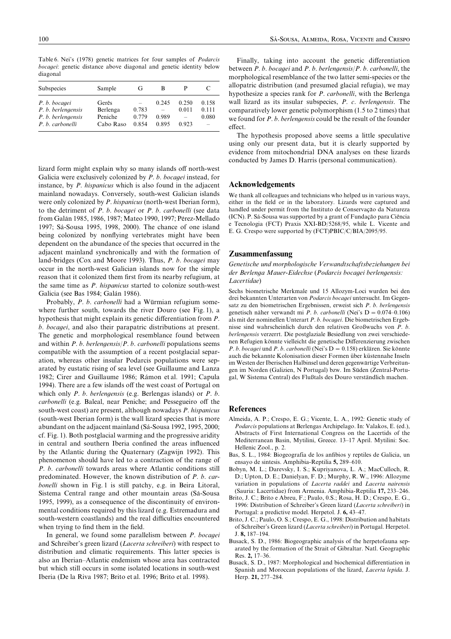Table 6. Nei's (1978) genetic matrices for four samples of *Podarcis* bocagei: genetic distance above diagonal and genetic identity below diagonal

| Subspecies                             | Sample               | Gì             | в                                 |                |                |
|----------------------------------------|----------------------|----------------|-----------------------------------|----------------|----------------|
| P. b. bocagei<br>P. b. berlengensis    | Gerês<br>Berlenga    | 0.783          | 0.245<br>$\overline{\phantom{0}}$ | 0.250<br>0.011 | 0.158<br>0.111 |
| P. b. berlengensis<br>P. b. carbonelli | Peniche<br>Cabo Raso | 0.779<br>0.854 | 0.989<br>0.895                    | 0.923          | 0.080          |

lizard form might explain why so many islands off north-west Galicia were exclusively colonized by  $P$ .  $b$ . bocaqei instead, for instance, by  $P$ , *hispanicus* which is also found in the adjacent mainland nowadays. Conversely, south-west Galician islands were only colonized by  $P$ . hispanicus (north-west Iberian form), to the detriment of  $P$ .  $b$ . bocagei or  $P$ .  $b$ . carbonelli (see data from Galán 1985, 1986, 1987; Mateo 1990, 1997; Pérez-Mellado 1997; Sá-Sousa 1995, 1998, 2000). The chance of one island being colonized by nonflying vertebrates might have been dependent on the abundance of the species that occurred in the adjacent mainland synchronically and with the formation of land-bridges (Cox and Moore 1993). Thus,  $P. b. bocagei$  may occur in the north-west Galician islands now for the simple reason that it colonized them first from its nearby refugium, at the same time as  $P$ . hispanicus started to colonize south-west Galicia (see Bas 1984; Galán 1986).

Probably, P. b. carbonelli had a Würmian refugium somewhere further south, towards the river Douro (see Fig. 1), a hypothesis that might explain its genetic differentiation from  $P$ . b. bocagei, and also their parapatric distributions at present. The genetic and morphological resemblance found between and within  $P. b.$  berlengensis/ $P. b.$  carbonelli populations seems compatible with the assumption of a recent postglacial separation, whereas other insular Podarcis populations were separated by eustatic rising of sea level (see Guillaume and Lanza 1982; Cirer and Guillaume 1986; Rámon et al. 1991; Capula 1994). There are a few islands off the west coast of Portugal on which only  $P. b.$  berlengensis (e.g. Berlengas islands) or  $P. b.$ carbonelli (e.g. Baleal, near Peniche; and Pessegueiro off the south-west coast) are present, although nowadays  $P$ . hispanicus (south-west Iberian form) is the wall lizard species that is more abundant on the adjacent mainland (Sá-Sousa 1992, 1995, 2000;  $cf. Fig. 1$ . Both postglacial warming and the progressive aridity in central and southern Iberia confined the areas influenced by the Atlantic during the Quaternary (Zagwijn 1992). This phenomenon should have led to a contraction of the range of P. b. carbonelli towards areas where Atlantic conditions still predominated. However, the known distribution of  $P$ .  $b$ . carbonelli shown in Fig. 1 is still patchy, e.g. in Beira Litoral, Sistema Central range and other mountain areas (Sá-Sousa 1995, 1999), as a consequence of the discontinuity of environmental conditions required by this lizard (e.g. Estremadura and south-western coastlands) and the real difficulties encountered when trying to find them in the field.

In general, we found some parallelism between  $P$ . bocagei and Schreiber's green lizard (Lacerta schreiberi) with respect to distribution and climatic requirements. This latter species is also an Iberian-Atlantic endemism whose area has contracted but which still occurs in some isolated locations in south-west Iberia (De la Riva 1987; Brito et al. 1996; Brito et al. 1998).

Finally, taking into account the genetic differentiation between  $P. b. bocagei$  and  $P. b. berlengensis/P. b. carbonelli, the$ morphological resemblance of the two latter semi-species or the allopatric distribution (and presumed glacial refugia), we may hypothesize a species rank for  $P$ . *carbonelli*, with the Berlenga wall lizard as its insular subspecies,  $P_$ .  $c$ . berlengensis. The comparatively lower genetic polymorphism  $(1.5 \text{ to } 2 \text{ times})$  that we found for  $P$ .  $b$ . berlengensis could be the result of the founder effect.

The hypothesis proposed above seems a little speculative using only our present data, but it is clearly supported by evidence from mitochondrial DNA analyses on these lizards conducted by James D. Harris (personal communication).

## Acknowledgements

We thank all colleagues and technicians who helped us in various ways, either in the field or in the laboratory. Lizards were captured and handled under permit from the Instituto de Conservação da Natureza (ICN). P. Sá-Sousa was supported by a grant of Fundação para Ciência e Tecnologia (FCT) Praxis XXI-BD/5268/95, while L. Vicente and E. G. Crespo were supported by (FCT)PBIC/C/BIA/2095/95.

#### Zusammenfassung

Genetische und morphologische Verwandtschaftsbeziehungen bei der Berlenga Mauer-Eidechse (Podarcis bocagei berlengensis: Lacertidae)

Sechs biometrische Merkmale und 15 Allozym-Loci wurden bei den drei bekannten Unterarten von Podarcis bocagei untersucht. Im Gegensatz zu den biometrischen Ergebnissen, erweist sich  $P.$  b. berlengensis genetisch näher verwandt mi P. b. carbonelli (Nei's  $D = 0.074 - 0.106$ ) als mit der nominellen Unterart  $P. b. bocaqei$ . Die biometrischen Ergebnisse sind wahrscheinlich durch den relativen Großwuchs von  $P_1$ .  $b$ . berlengensis verzerrt. Die postglaziale Besiedlung von zwei verschiedenen Refugien könnte vielleicht die genetische Differenzierung zwischen P. b. bocagei und P. b. carbonelli (Nei's  $D = 0.158$ ) erklären. Sie könnte auch die bekannte Kolonisation dieser Formen über küstennahe Inseln im Westen der Iberischen Halbinsel und deren gegenwärtige Verbreitungen im Norden (Galizien, N Portugal) bzw. Im Süden (Zentral-Portugal, W Sistema Central) des Flußtals des Douro verständlich machen.

#### References

- Almeida, A. P.; Crespo, E. G.; Vicente, L. A., 1992: Genetic study of  $Podarcis$  populations at Berlengas Archipelago. In: Valakos, E. (ed.), Abstracts of First International Congress on the Lacertids of the Mediterranean Basin, Mytilini, Greece. 13-17 April. Mytilini: Soc. Hellenic Zool., p. 2.
- Bas, S. L., 1984: Biogeografía de los anfibios y reptiles de Galicia, un ensayo de sintesis. Amphibia-Reptilia 5, 289-610.
- Bobyn, M. L.; Darevsky, I. S.; Kupriyanova, L. A.; MacCulloch, R. D.; Upton, D. E.; Danielyan, F. D.; Murphy, R. W., 1996: Allozyme variation in populations of Lacerta raddei and Lacerta nairensis (Sauria: Lacertidae) from Armenia. Amphibia-Reptilia 17, 233–246.
- Brito, J. C.; Brito e Abreu, F.; Paulo, 0.S.; Rosa, H. D.; Crespo, E. G., 1996: Distribution of Schreiber's Green lizard (Lacerta schreiberi) in Portugal: a predictive model. Herpetol. J. 6, 43–47.
- Brito, J. C.; Paulo, O. S.; Crespo, E. G., 1998: Distribution and habitats of Schreiber's Green lizard (Lacerta schreiberi) in Portugal. Herpetol. J. 8,  $187-194$ .
- Busack, S. D., 1986: Biogeographic analysis of the herpetofauna separated by the formation of the Strait of Gibraltar. Natl. Geographic Res. 2. 17–36.
- Busack, S. D., 1987: Morphological and biochemical differentiation in Spanish and Moroccan populations of the lizard, Lacerta lepida. J. Herp. 21, 277-284.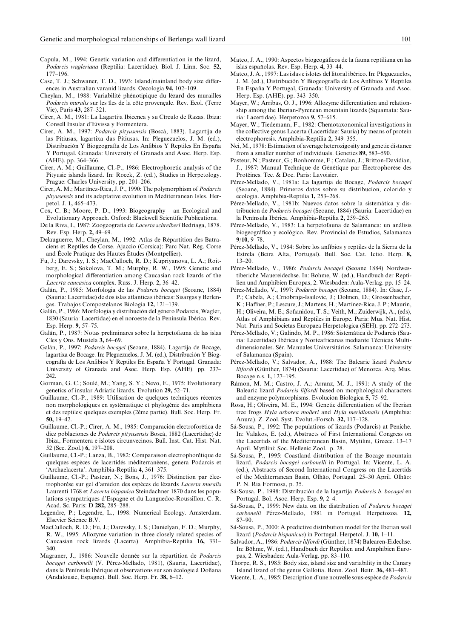- Capula, M., 1994: Genetic variation and differentiation in the lizard, Podarcis waaleriana (Reptilia: Lacertidae). Biol. J. Linn. Soc. 52,  $177 - 196$ .
- Case, T. J.; Schwaner, T. D., 1993: Island/mainland body size differences in Australian varanid lizards. Oecologia 94, 102-109.
- Cheylan, M., 1988: Variabilité phénotipique du lézard des murailles Podarcis muralis sur les îles de la côte provençale. Rev. Ecol. (Terre Vie), Paris 43, 287-321.
- Cirer, A. M., 1981: La Lagartija Ibicenca y su Círculo de Razas. Ibiza: Consell Insular d'Eivissa y Formentera.
- Cirer, A. M., 1997: Podarcis pityusensis (Boscà, 1883). Lagartija de las Pitiusas, lagartixa das Pitiusas. In: Pleguezuelos, J. M. (ed.), Distribución Y Biogeografía de Los Anfibios Y Reptiles En España Y Portugal. Granada: University of Granada and Asoc. Herp. Esp.  $(AHE)$ . pp. 364-366.
- Cirer, A. M.; Guillaume, Cl.-P., 1986: Electrophoretic analysis of the Pityusic islands lizard. In: Rocek, Z. (ed.), Studies in Herpetology. Prague: Charles University, pp. 201-206.
- Cirer, A. M.; Martínez-Rica, J. P., 1990: The polymorphism of *Podarcis* pityusensis and its adaptative evolution in Mediterranean Isles. Herpetol. J. 1, 465–473.
- Cox, C. B.; Moore, P. D., 1993: Biogeography an Ecological and Evolutionary Approach. Oxford: Blackwell Scientific Publications.
- De la Riva, I., 1987: Zoogeografia de Lacerta schreiberi Bedriaga, 1878. Rev. Esp. Herp. 2, 49–69.
- Delauguerre, M.; Cheylan, M., 1992: Atlas de Répartition des Batraciens et Reptiles de Corse. Ajaccio (Corsica): Parc Nat. Rég. Corse and École Pratique des Hautes Études (Montpellier).
- Fu, J.; Darevsky, I. S.; MacCulloch, R. D.; Kupriyanova, L. A.; Roitberg, E. S.; Sokolova, T. M.; Murphy, R. W., 1995: Genetic and morphological differentiation among Caucasian rock lizards of the Lacerta caucasica complex. Russ. J. Herp. 2, 36-42.
- Galán, P., 1985: Morfologia de las Podarcis bocagei (Seoane, 1884) (Sauria: Lacertidae) de dos islas atlanticas ibéricas: Sisargas y Berlengas. Trabajos Compostelanos Biologia 12, 121-139.
- Galán, P., 1986: Morfologia y distribución del género Podarcis, Wagler, 1830 (Sauria: Lacertidae) en el noroeste de la Península Ibérica. Rev. Esp. Herp. 9, 57–75.
- Galán, P., 1987: Notas preliminares sobre la herpetofauna de las islas Cíes y Ons. Mustela 3, 64-69.
- Galán, P., 1997: Podarcis bocagei (Seoane, 1884). Lagartija de Bocage, lagartixa de Bocage. In: Pleguezuelos, J. M. (ed.), Distribución Y Biogeografía de Los Anfibios Y Reptiles En España Y Portugal. Granada: University of Granada and Asoc. Herp. Esp. (AHE). pp. 237- $242$
- Gorman, G. C.; Soulé, M.; Yang, S. Y.; Nevo, E., 1975: Evolutionary genetics of insular Adriatic lizards. Evolution  $29, 52-71$ .
- Guillaume, Cl.-P., 1989: Utilisation de quelques techniques récentes non morphologiques en systematique et phylogenie des amphibiens et des reptiles: quelques exemples (2ème partie). Bull. Soc. Herp. Fr. 50,  $19-42$ .
- Guillaume, Cl.-P.; Cirer, A. M., 1985: Comparación electroforética de diez poblaciones de Podarcis pityusensis Boscà, 1882 (Lacertidae) de Ibiza, Formentera e islotes circunvecinos. Bull. Inst. Cat. Hist. Nat. 52 (Sec. Zool.) 6, 197–208.
- Guillaume, Cl.-P.; Lanza, B., 1982: Comparaison electrophorétique de quelques espèces de lacertidés méditerranéens, genera Podarcis et 'Archaelacerta'. Amphibia-Reptilia 4, 361-375.
- Guillaume, Cl.-P.; Pasteur, N.; Bons, J., 1976: Distinction par électrophorèse sur gel d'amidon des espèces de lézards Lacerta muralis Laurenti 1768 et Lacerta hispanica Steindachner 1870 dans les populations sympatriques d'Espagne et du Languedoc-Roussillon. C. R. Acad. Sc. Paris: D 282, 285-288.
- Legendre, P.; Legendre, L., 1998: Numerical Ecology. Amsterdam. Elsevier Science B.V.
- MacCulloch, R. D.; Fu, J.; Darevsky, I. S.; Danielyan, F. D.; Murphy, R. W., 1995: Allozyme variation in three closely related species of Caucasian rock lizards (Lacerta). Amphibia-Reptilia 16, 331–  $340$
- Magraner, J., 1986: Nouvelle donnée sur la répartition de Podarcis bocagei carbonelli (V. Pérez-Mellado, 1981), (Sauria, Lacertidae), dans la Penínsule Ibérique et observations sur son écologie à Doñana (Andalousie, Espagne). Bull. Soc. Herp. Fr. 38, 6-12.
- Mateo, J. A., 1990: Aspectos biogeogáficos de la fauna reptiliana en las islas españolas. Rev. Esp. Herp.  $4, 33-44$ .
- Mateo, J. A., 1997: Las islas e islotes del litoral ibérico. In: Pleguezuelos, J. M. (ed.). Distribución Y Biogeografía de Los Anfibios Y Reptiles En España Y Portugal, Granada: University of Granada and Asoc. Herp. Esp. (AHE). pp. 343–350.
- Mayer, W.; Arribas, O. J., 1996: Allozyme differentiation and relationship among the Iberian-Pyrenean mountain lizards (Squamata: Sauria: Lacertidae). Herpetozoa 9, 57-615.
- Mayer, W.; Tiedemann, F., 1982: Chemotaxonomical investigations in the collective genus Lacerta (Lacertidae: Sauria) by means of protein electrophoresis. Amphibia-Reptilia 2. 349–355.
- Nei, M., 1978: Estimation of average heterozigosity and genetic distance from a smaller number of individuals. Genetics  $89, 583-590$ .
- Pasteur, N.; Pasteur, G.; Bonhomme, F.; Catalan, J.; Britton-Davidian, J., 1987: Manual Technique de Génétique par Électrophorèse des Protéines. Tec. & Doc. Paris: Lavoisier.
- Pérez-Mellado, V., 1981a: La lagartija de Bocage, Podarcis bocagei (Seoane, 1884). Primeros datos sobre su distribucíon, colorido y ecologia. Amphibia-Reptilia 1, 253–268.
- Pérez-Mellado, V., 1981b: Nuevos datos sobre la sistemática y distribucíon de Podarcis bocagei (Seoane, 1884) (Sauria: Lacertidae) en la Península Ibérica. Amphibia-Reptilia 2, 259-265.
- Pérez-Mellado, V., 1983: La herpetofauna de Salamanca: un análisis biogeográfico y ecológico. Rev. Provincial de Estudios, Salamanca  $9/10.9-78$
- Pérez-Mellado, V., 1984: Sobre los anfíbios y reptiles de la Sierra de la Estrela (Beira Alta, Portugal). Bull. Soc. Cat. Ictio. Herp. 8,  $13 - 20$
- Pérez-Mellado, V., 1986: Podarcis bocagei (Seoane 1884) Nordwestiberiche Mauereidechse. In: Böhme, W. (ed.), Handbuch der Reptilien und Amphibien Europas, 2. Wiesbaden: Aula-Verlag. pp. 15-24.
- Pérez-Mellado, V., 1997; Podarcis bocaaei (Seoane, 1884). In: Gasc. J.-P.; Cabela, A.; Crnobrnja-Isailovic, J.; Dolmen, D.; Grossenbacher, K.; Haffner, P.; Lescure, J.; Martens, H.; Martínez-Rica, J. P.; Maurin, H.; Oliveira, M. E.; Sofianidou, T. S.; Veith, M.; Zuiderwijk, A., (eds), Atlas of Amphibians and Reptiles in Europe. Paris: Mus. Nat. Hist. Nat. Paris and Societas Europaea Herpetologica (SEH). pp. 272–273.
- Pérez-Mellado, V.; Galindo, M. P., 1986: Sistemática de Podarcis (Sauria: Lacertidae) Ibéricas y Norteafricanas mediante Técnicas Multidimensionales. Sér. Manuales Universitários. Salamanca: University of Salamanca (Spain).
- Pérez-Mellado, V.; Salvador, A., 1988: The Balearic lizard Podarcis lilfordi (Günther, 1874) (Sauria: Lacertidae) of Menorca. Arq. Mus. Bocage n.s. 1, 127-195.
- Rámon, M. M.; Castro, J. A.; Arranz, M. J., 1991: A study of the Balearic lizard Podarcis lilfordi based on morphological characters and enzyme polymorphisms. Evolución Biológica 5, 75–92.
- Rosa, H.; Oliveira, M. E., 1994: Genetic differentiation of the Iberian tree frogs Hyla arborea molleri and Hyla meridionalis (Amphibia: Anura). Z. Zool. Syst. Evolut.-Forsch. 32, 117-128.
- Sá-Sousa, P., 1992: The populations of lizards (Podarcis) at Peniche. In: Valakos, E. (ed.), Abstracts of First International Congress on the Lacertids of the Mediterranean Basin, Mytilini, Greece.  $13-17$ April. Mytilini: Soc. Hellenic Zool. p. 28.
- Sá-Sousa, P., 1995: Coastland distribution of the Bocage mountain lizard, Podarcis bocagei carbonelli in Portugal. In: Vicente, L. A. (ed.), Abstracts of Second International Congress on the Lacertids of the Mediterranean Basin, Olhão, Portugal. 25–30 April. Olhão: P. N. Ria Formosa, p. 35.
- Sá-Sousa, P., 1998: Distribución de la lagartija Podarcis b. bocagei en Portugal, Bol. Asoc. Herp. Esp. 9, 2-4.
- Sá-Sousa, P., 1999: New data on the distribution of Podarcis bocagei carbonelli Pérez-Mellado, 1981 in Portugal. Herpetozoa. 12,  $87 - 90.$
- Sá-Sousa, P., 2000: A predictive distribution model for the Iberian wall lizard (Podarcis hispanicus) in Portugal. Herpetol. J. 10, 1-11.
- Salvador, A., 1986: Podarcis lilfordi (Günther, 1874) Balearen-Eidechse. In: Böhme, W. (ed.), Handbuch der Reptilien und Amphibien Europas, 2. Wiesbaden: Aula-Verlag. pp. 83-110.
- Thorpe, R. S., 1985: Body size, island size and variability in the Canary Island lizard of the genus Gallotia. Bonn. Zool. Beitr. 36, 481-487.
- Vicente, L. A., 1985: Description d'une nouvelle sous-espèce de Podarcis